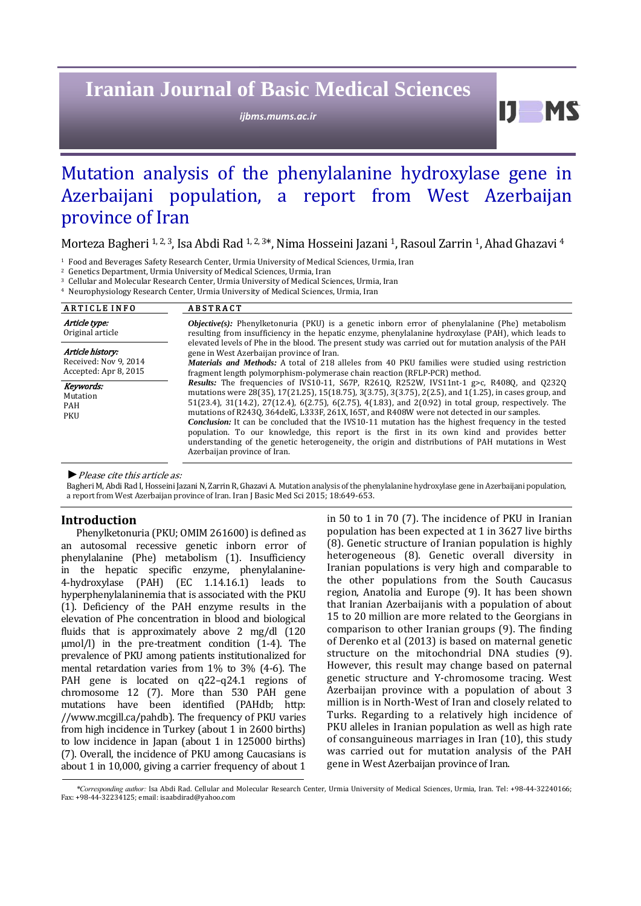# **Iranian Journal of Basic Medical Sciences**

*ijbms.mums.ac.ir*

 $11$  MS

# Mutation analysis of the phenylalanine hydroxylase gene in Azerbaijani population, a report from West Azerbaijan province of Iran

# Morteza Bagheri <sup>1, 2, 3</sup>, Isa Abdi Rad <sup>1, 2, 3\*</sup>, Nima Hosseini Jazani <sup>1</sup>, Rasoul Zarrin <sup>1</sup>, Ahad Ghazavi <sup>4</sup>

<sup>1</sup> Food and Beverages Safety Research Center, Urmia University of Medical Sciences, Urmia, Iran

<sup>2</sup> Genetics Department, Urmia University of Medical Sciences, Urmia, Iran

<sup>3</sup> Cellular and Molecular Research Center, Urmia University of Medical Sciences, Urmia, Iran

<sup>4</sup> Neurophysiology Research Center, Urmia University of Medical Sciences, Urmia, Iran

| <b>ARTICLE INFO</b>                                                | <b>ABSTRACT</b>                                                                                                                                                                                                                                                                                                                                                                                                                                                                                                                                                                                                                                                                                                                                                        |  |  |
|--------------------------------------------------------------------|------------------------------------------------------------------------------------------------------------------------------------------------------------------------------------------------------------------------------------------------------------------------------------------------------------------------------------------------------------------------------------------------------------------------------------------------------------------------------------------------------------------------------------------------------------------------------------------------------------------------------------------------------------------------------------------------------------------------------------------------------------------------|--|--|
| Article type:<br>Original article                                  | <b><i>Objective(s)</i></b> : Phenylketonuria (PKU) is a genetic inborn error of phenylalanine (Phe) metabolism<br>resulting from insufficiency in the hepatic enzyme, phenylalanine hydroxylase (PAH), which leads to                                                                                                                                                                                                                                                                                                                                                                                                                                                                                                                                                  |  |  |
| Article history:<br>Received: Nov 9, 2014<br>Accepted: Apr 8, 2015 | elevated levels of Phe in the blood. The present study was carried out for mutation analysis of the PAH<br>gene in West Azerbaijan province of Iran.<br><i>Materials and Methods:</i> A total of 218 alleles from 40 PKU families were studied using restriction<br>fragment length polymorphism-polymerase chain reaction (RFLP-PCR) method.                                                                                                                                                                                                                                                                                                                                                                                                                          |  |  |
| Keywords:<br>Mutation<br>PAH<br>PKU                                | <b>Results:</b> The frequencies of IVS10-11, S67P, R2610, R252W, IVS11nt-1 g>c, R4080, and 02320<br>mutations were 28(35), 17(21.25), 15(18.75), 3(3.75), 3(3.75), 2(2.5), and 1(1.25), in cases group, and<br>51(23.4), 31(14.2), 27(12.4), 6(2.75), 6(2.75), 4(1.83), and 2(0.92) in total group, respectively. The<br>mutations of R2430, 364 del G, L333F, 261X, 165T, and R408W were not detected in our samples.<br><b>Conclusion:</b> It can be concluded that the IVS10-11 mutation has the highest frequency in the tested<br>population. To our knowledge, this report is the first in its own kind and provides better<br>understanding of the genetic heterogeneity, the origin and distributions of PAH mutations in West<br>Azerbaijan province of Iran. |  |  |

 $\blacktriangleright$  Please cite this article as:

Bagheri M, Abdi Rad I, Hosseini Jazani N, Zarrin R, Ghazavi A. Mutation analysis of the phenylalanine hydroxylase gene in Azerbaijani population, a report from West Azerbaijan province of Iran. Iran J Basic Med Sci 2015; 18:649-653.

## **Introduction**

Phenylketonuria (PKU; OMIM 261600) is defined as an autosomal recessive genetic inborn error of phenylalanine (Phe) metabolism (1). Insufficiency in the hepatic specific enzyme, phenylalanine-4-hydroxylase (PAH) (EC 1.14.16.1) leads to hyperphenylalaninemia that is associated with the PKU (1). Deficiency of the PAH enzyme results in the elevation of Phe concentration in blood and biological fluids that is approximately above  $2 \text{ mg/dl}$  (120) μmol/l) in the pre-treatment condition (1-4). The prevalence of PKU among patients institutionalized for mental retardation varies from  $1\%$  to  $3\%$  (4-6). The PAH gene is located on q22-q24.1 regions of chromosome  $12$  (7). More than  $530$  PAH gene mutations have been identified (PAHdb; http: //www.mcgill.ca/pahdb). The frequency of PKU varies from high incidence in Turkey (about 1 in 2600 births) to low incidence in Japan (about  $1$  in  $125000$  births) (7). Overall, the incidence of PKU among Caucasians is about 1 in 10,000, giving a carrier frequency of about 1 in  $50$  to  $1$  in  $70$  ( $7$ ). The incidence of PKU in Iranian population has been expected at 1 in 3627 live births (8). Genetic structure of Iranian population is highly heterogeneous (8). Genetic overall diversity in Iranian populations is very high and comparable to the other populations from the South Caucasus region, Anatolia and Europe (9). It has been shown that Iranian Azerbaijanis with a population of about 15 to 20 million are more related to the Georgians in comparison to other Iranian groups  $(9)$ . The finding of Derenko et al (2013) is based on maternal genetic structure on the mitochondrial DNA studies (9). However, this result may change based on paternal genetic structure and Y-chromosome tracing. West Azerbaijan province with a population of about 3 million is in North-West of Iran and closely related to Turks. Regarding to a relatively high incidence of PKU alleles in Iranian population as well as high rate of consanguineous marriages in Iran  $(10)$ , this study was carried out for mutation analysis of the PAH gene in West Azerbaijan province of Iran.

*<sup>\*</sup>Corresponding author:* Isa Abdi Rad. Cellular and Molecular Research Center, Urmia University of Medical Sciences, Urmia, Iran. Tel: +98‐44‐32240166; Fax: +98-44-32234125; email: isaabdirad@yahoo.com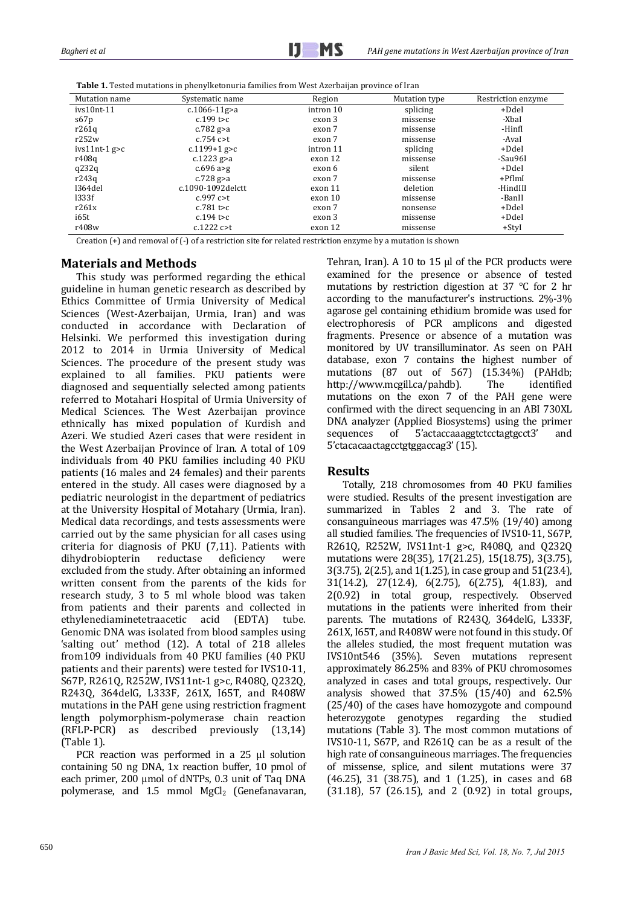|  |  |  | <b>Table 1.</b> Tested mutations in phenylketonuria families from West Azerbaijan province of Iran |  |
|--|--|--|----------------------------------------------------------------------------------------------------|--|
|--|--|--|----------------------------------------------------------------------------------------------------|--|

| Mutation name   | Systematic name    | Region    | Mutation type | Restriction enzyme |
|-----------------|--------------------|-----------|---------------|--------------------|
| $ivs10nt-11$    | $c.1066 - 11g > a$ | intron 10 | splicing      | +DdeI              |
| s67p            | $c.199$ t>c        | exon 3    | missense      | -XbaI              |
| r261q           | c.782 $g > a$      | exon 7    | missense      | -Hinfl             |
| r252w           | $c.754$ $c > t$    | exon 7    | missense      | -AvaI              |
| $ivs11nt-1 g>c$ | c.1199+1 g $>$ c   | intron 11 | splicing      | +DdeI              |
| r408q           | c.1223 $g > a$     | exon 12   | missense      | -Sau96I            |
| q232q           | $c.696$ a>g        | exon 6    | silent        | +DdeI              |
| r243q           | c.728 $g$ >a       | exon 7    | missense      | +PflmI             |
| 1364del         | c.1090-1092delctt  | exon 11   | deletion      | -HindIII           |
| 1333f           | $c.997$ $c > t$    | exon 10   | missense      | -BanII             |
| r261x           | $c.781$ t>c        | exon 7    | nonsense      | +DdeI              |
| i65t            | c.194 t>c          | exon 3    | missense      | +DdeI              |
| r408w           | c.1222c>           | exon 12   | missense      | $+$ StyI           |

Creation  $(+)$  and removal of  $(-)$  of a restriction site for related restriction enzyme by a mutation is shown

### **Materials and Methods**

This study was performed regarding the ethical guideline in human genetic research as described by Ethics Committee of Urmia University of Medical Sciences (West-Azerbaijan, Urmia, Iran) and was conducted in accordance with Declaration of Helsinki. We performed this investigation during 2012 to 2014 in Urmia University of Medical Sciences. The procedure of the present study was explained to all families. PKU patients were diagnosed and sequentially selected among patients referred to Motahari Hospital of Urmia University of Medical Sciences. The West Azerbaijan province ethnically has mixed population of Kurdish and Azeri. We studied Azeri cases that were resident in the West Azerbaijan Province of Iran. A total of 109 individuals from 40 PKU families including 40 PKU patients (16 males and 24 females) and their parents entered in the study. All cases were diagnosed by a pediatric neurologist in the department of pediatrics at the University Hospital of Motahary (Urmia, Iran). Medical data recordings, and tests assessments were carried out by the same physician for all cases using criteria for diagnosis of PKU  $(7,11)$ . Patients with dihydrobiopterin reductase deficiency were excluded from the study. After obtaining an informed written consent from the parents of the kids for research study, 3 to 5 ml whole blood was taken from patients and their parents and collected in ethylenediaminetetraacetic acid (EDTA) tube. Genomic DNA was isolated from blood samples using 'salting out' method (12). A total of 218 alleles from109 individuals from 40 PKU families (40 PKU patients and their parents) were tested for IVS10-11, S67P, R261Q, R252W, IVS11nt-1 g>c, R408Q, Q232Q, R243Q, 364delG, L333F, 261X, I65T, and R408W mutations in the PAH gene using restriction fragment length polymorphism-polymerase chain reaction (RFLP‐PCR) as described previously (13,14)  $(Table 1)$ .

PCR reaction was performed in a 25 μl solution containing 50 ng DNA, 1x reaction buffer, 10 pmol of each primer, 200 μmol of dNTPs, 0.3 unit of Taq DNA polymerase, and 1.5 mmol MgCl<sub>2</sub> (Genefanavaran, Tehran, Iran). A 10 to 15  $\mu$ l of the PCR products were examined for the presence or absence of tested mutations by restriction digestion at  $37 \degree C$  for 2 hr according to the manufacturer's instructions.  $2\% - 3\%$ agarose gel containing ethidium bromide was used for electrophoresis of PCR amplicons and digested fragments. Presence or absence of a mutation was monitored by UV transilluminator. As seen on PAH database, exon 7 contains the highest number of mutations (87 out of 567) (15.34%) (PAHdb; http://www.mcgill.ca/pahdb). The identified mutations on the exon 7 of the PAH gene were confirmed with the direct sequencing in an ABI 730XL DNA analyzer (Applied Biosystems) using the primer sequences of 5'actaccaaaggtctcctagtgcct3' and 5'ctacacaactagcctgtggaccag3' (15). 

#### **Results**

Totally, 218 chromosomes from 40 PKU families were studied. Results of the present investigation are summarized in Tables 2 and 3. The rate of consanguineous marriages was  $47.5\%$  (19/40) among all studied families. The frequencies of IVS10-11, S67P, R261Q, R252W, IVS11nt-1 g>c, R408Q, and Q232Q mutations were 28(35), 17(21.25), 15(18.75), 3(3.75), 3(3.75), 2(2.5), and 1(1.25), in case group and 51(23.4), 31(14.2), 27(12.4), 6(2.75), 6(2.75), 4(1.83), and 2(0.92) in total group, respectively. Observed mutations in the patients were inherited from their parents. The mutations of R2430, 364delG, L333F, 261X, I65T, and R408W were not found in this study. Of the alleles studied, the most frequent mutation was IVS10nt546 (35%). Seven mutations represent approximately 86.25% and 83% of PKU chromosomes analyzed in cases and total groups, respectively. Our analysis showed that  $37.5\%$   $(15/40)$  and  $62.5\%$  $(25/40)$  of the cases have homozygote and compound heterozygote genotypes regarding the studied mutations (Table 3). The most common mutations of IVS10-11, S67P, and R261Q can be as a result of the high rate of consanguineous marriages. The frequencies of missense, splice, and silent mutations were 37 (46.25), 31 (38.75), and 1 (1.25), in cases and 68  $(31.18)$ , 57  $(26.15)$ , and 2  $(0.92)$  in total groups,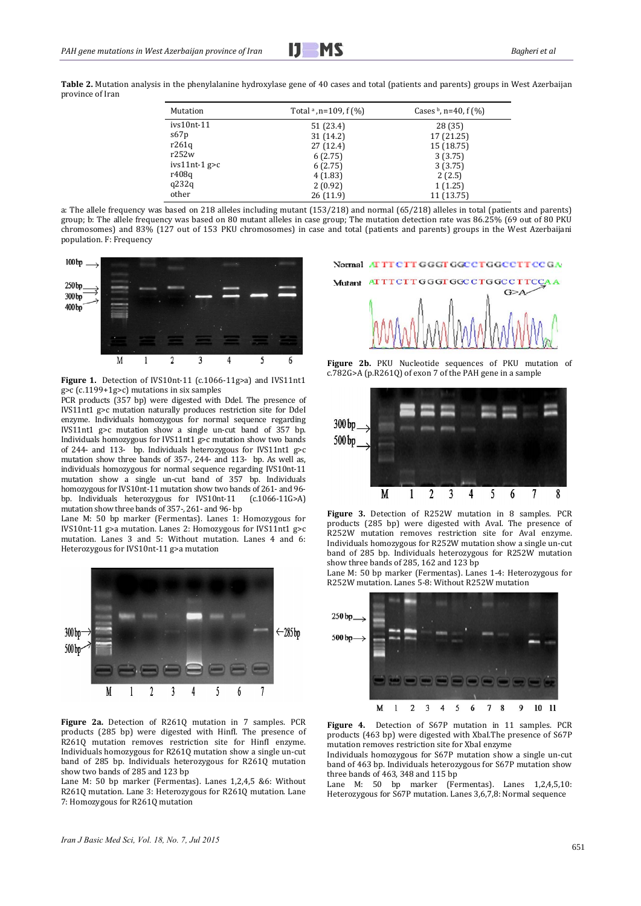Table 2. Mutation analysis in the phenylalanine hydroxylase gene of 40 cases and total (patients and parents) groups in West Azerbaijan province of Iran 

| Mutation        | Total $\alpha$ , n=109, f (%) | Cases $\frac{b}{n}$ , n=40, f (%) |
|-----------------|-------------------------------|-----------------------------------|
| $ivs10nt-11$    | 51 (23.4)                     | 28(35)                            |
| s67p            | 31 (14.2)                     | 17 (21.25)                        |
| r261q           | 27 (12.4)                     | 15 (18.75)                        |
| r252w           | 6(2.75)                       | 3(3.75)                           |
| $ivs11nt-1$ g>c | 6(2.75)                       | 3(3.75)                           |
| r408q           | 4(1.83)                       | 2(2.5)                            |
| q232q           | 2(0.92)                       | 1(1.25)                           |
| other           | 26(11.9)                      | 11 (13.75)                        |

a: The allele frequency was based on 218 alleles including mutant (153/218) and normal (65/218) alleles in total (patients and parents) group; b: The allele frequency was based on 80 mutant alleles in case group; The mutation detection rate was 86.25% (69 out of 80 PKU chromosomes) and 83% (127 out of 153 PKU chromosomes) in case and total (patients and parents) groups in the West Azerbaijani population. F: Frequency



**Figure 1.** Detection of IVS10nt-11 (c.1066-11g>a) and IVS11nt1  $g>c$  (c.1199+1g>c) mutations in six samples

PCR products (357 bp) were digested with DdeI. The presence of IVS11nt1 g>c mutation naturally produces restriction site for DdeI enzyme. Individuals homozygous for normal sequence regarding IVS11nt1  $g$ >c mutation show a single un-cut band of 357 bp. Individuals homozygous for IVS11nt1 g>c mutation show two bands of 244- and 113- bp. Individuals heterozygous for IVS11nt1 g>c mutation show three bands of 357-, 244- and 113- bp. As well as, individuals homozygous for normal sequence regarding IVS10nt-11 mutation show a single un-cut band of 357 bp. Individuals homozygous for IVS10nt-11 mutation show two bands of 261- and 96bp. Individuals heterozygous for IVS10nt-11 (c.1066-11G>A) mutation show three bands of 357-, 261- and 96- bp

Lane M: 50 bp marker (Fermentas). Lanes 1: Homozygous for IVS10nt-11  $g$ >a mutation. Lanes 2: Homozygous for IVS11nt1  $g$ >c mutation. Lanes 3 and 5: Without mutation. Lanes 4 and 6: Heterozygous for IVS10nt-11 g>a mutation



**Figure** 2a. Detection of R261Q mutation in 7 samples. PCR products (285 bp) were digested with Hinfl. The presence of R261Q mutation removes restriction site for HinfI enzyme. Individuals homozygous for R261Q mutation show a single un-cut band of 285 bp. Individuals heterozygous for R261Q mutation show two bands of 285 and 123 bp

Lane M: 50 bp marker (Fermentas). Lanes  $1,2,4,5$  &6: Without R2610 mutation. Lane 3: Heterozygous for R2610 mutation. Lane 7: Homozygous for R261Q mutation

Normal ATTTCTTGGGTGGCCTGGCCTTCCGA



**Figure 2b.** PKU Nucleotide sequences of PKU mutation of  $c.782G > A$  (p.R261Q) of exon 7 of the PAH gene in a sample



**Figure** 3. Detection of R252W mutation in 8 samples. PCR products  $(285$  bp) were digested with AvaI. The presence of R252W mutation removes restriction site for AvaI enzyme. Individuals homozygous for R252W mutation show a single un-cut band of 285 bp. Individuals heterozygous for R252W mutation show three bands of 285, 162 and  $123$  bp

Lane M: 50 bp marker (Fermentas). Lanes 1-4: Heterozygous for R252W mutation. Lanes 5-8: Without R252W mutation



**Figure 4.** Detection of S67P mutation in 11 samples. PCR products (463 bp) were digested with XbaI.The presence of S67P mutation removes restriction site for XbaI enzyme

Individuals homozygous for S67P mutation show a single un-cut band of 463 bp. Individuals heterozygous for S67P mutation show three bands of  $463$ ,  $348$  and  $115$  bp

Lane M: 50 bp marker (Fermentas). Lanes 1,2,4,5,10: Heterozygous for  $S67P$  mutation. Lanes  $3,6,7,8$ : Normal sequence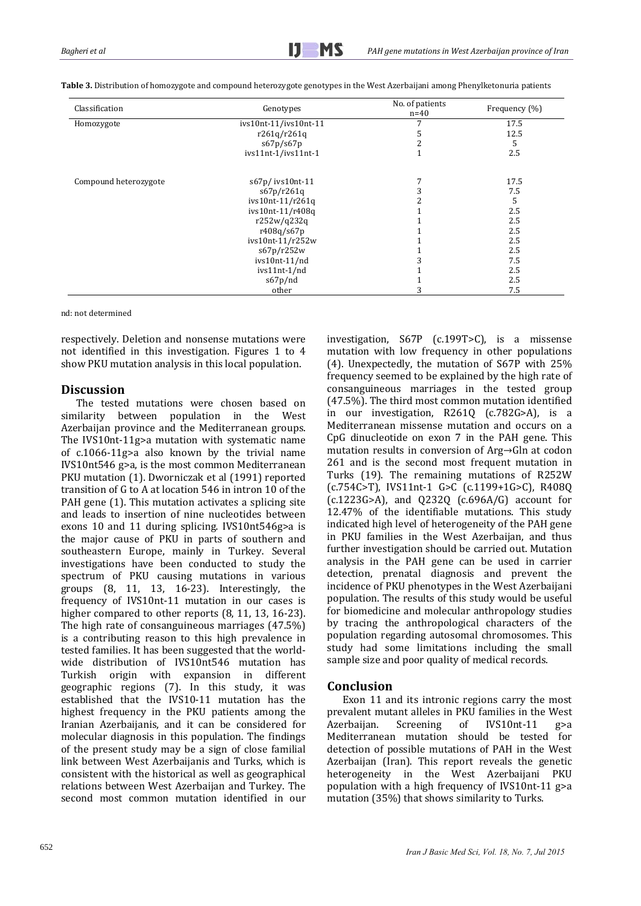| Classification        | Genotypes             |  | Frequency (%) |
|-----------------------|-----------------------|--|---------------|
| Homozygote            | ivs10nt-11/ivs10nt-11 |  | 17.5          |
|                       | r261q/r261q           |  | 12.5          |
|                       | s67p/s67p             |  | 5             |
|                       | ivs11nt-1/ivs11nt-1   |  | 2.5           |
| Compound heterozygote | s67p/ivs10nt-11       |  | 17.5          |
|                       | s67p/r261q            |  | 7.5           |
|                       | ivs10nt-11/r261q      |  | 5             |
|                       | ivs10nt-11/r408q      |  | 2.5           |
|                       | r252w/q232q           |  | 2.5           |
|                       | r408q/s67p            |  | 2.5           |
|                       | ivs10nt-11/r252w      |  | 2.5           |
|                       | s67p/r252w            |  | 2.5           |
|                       | ivs10nt-11/nd         |  | 7.5           |
|                       | ivs11nt-1/nd          |  | 2.5           |
|                       | s67p/nd               |  | 2.5           |
|                       | other                 |  | 7.5           |

Table 3. Distribution of homozygote and compound heterozygote genotypes in the West Azerbaijani among Phenylketonuria patients

nd: not determined

respectively. Deletion and nonsense mutations were not identified in this investigation. Figures 1 to 4 show PKU mutation analysis in this local population.

## **Discussion**

The tested mutations were chosen based on similarity between population in the West Azerbaijan province and the Mediterranean groups. The IVS10nt-11g>a mutation with systematic name of  $c.1066-11g$ >a also known by the trivial name IVS10nt546  $g$ >a, is the most common Mediterranean PKU mutation (1). Dworniczak et al (1991) reported transition of G to A at location 546 in intron 10 of the PAH gene (1). This mutation activates a splicing site and leads to insertion of nine nucleotides between exons 10 and 11 during splicing. IVS10nt546g>a is the major cause of PKU in parts of southern and southeastern Europe, mainly in Turkey. Several investigations have been conducted to study the spectrum of PKU causing mutations in various groups  $(8, 11, 13, 16-23)$ . Interestingly, the frequency of IVS10nt-11 mutation in our cases is higher compared to other reports  $(8, 11, 13, 16-23)$ . The high rate of consanguineous marriages  $(47.5\%)$ is a contributing reason to this high prevalence in tested families. It has been suggested that the worldwide distribution of IVS10nt546 mutation has Turkish origin with expansion in different geographic regions (7). In this study, it was established that the IVS10-11 mutation has the highest frequency in the PKU patients among the Iranian Azerbaijanis, and it can be considered for molecular diagnosis in this population. The findings of the present study may be a sign of close familial link between West Azerbaijanis and Turks, which is consistent with the historical as well as geographical relations between West Azerbaijan and Turkey. The second most common mutation identified in our

investigation, S67P (c.199T>C), is a missense mutation with low frequency in other populations (4). Unexpectedly, the mutation of  $S67P$  with  $25%$ frequency seemed to be explained by the high rate of consanguineous marriages in the tested group  $(47.5%)$ . The third most common mutation identified in our investigation, R261Q (c.782G>A), is a Mediterranean missense mutation and occurs on a CpG dinucleotide on exon 7 in the PAH gene. This mutation results in conversion of  $\text{Arg}\rightarrow\text{G}$ ln at codon 261 and is the second most frequent mutation in Turks (19). The remaining mutations of R252W  $(c.754C>T)$ , IVS11nt-1 G>C  $(c.1199+1G>C)$ , R408Q  $(c.1223G>A)$ , and  $Q232Q$   $(c.696A/G)$  account for 12.47% of the identifiable mutations. This study indicated high level of heterogeneity of the PAH gene in PKU families in the West Azerbaijan, and thus further investigation should be carried out. Mutation analysis in the PAH gene can be used in carrier detection, prenatal diagnosis and prevent the incidence of PKU phenotypes in the West Azerbaijani population. The results of this study would be useful for biomedicine and molecular anthropology studies by tracing the anthropological characters of the population regarding autosomal chromosomes. This study had some limitations including the small sample size and poor quality of medical records.

## **Conclusion**

Exon 11 and its intronic regions carry the most prevalent mutant alleles in PKU families in the West Azerbaijan. Screening of IVS10nt-11 g>a Mediterranean mutation should be tested for detection of possible mutations of PAH in the West Azerbaijan (Iran). This report reveals the genetic heterogeneity in the West Azerbaijani PKU population with a high frequency of IVS10nt-11  $g$ >a mutation  $(35%)$  that shows similarity to Turks.